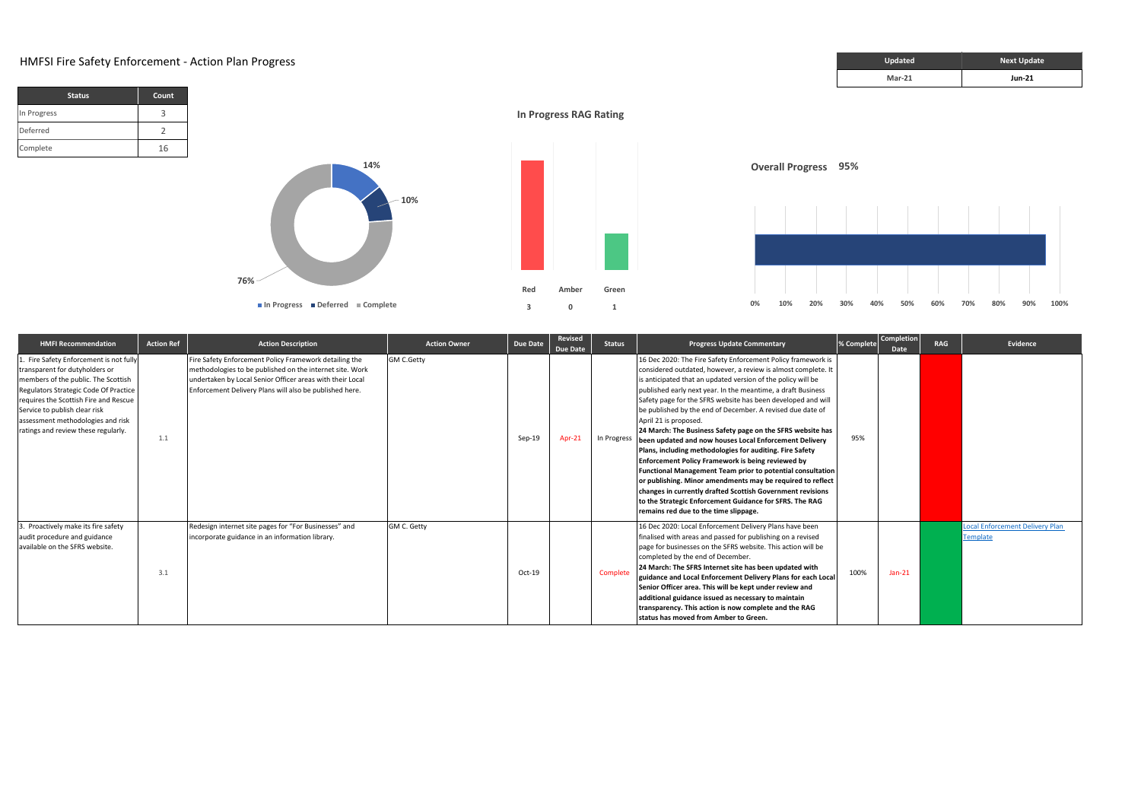## **HMFSI Fire Safety Enforcement - Action Plan Progress**

| <b>Status</b> | <b>Count</b> |
|---------------|--------------|
| In Progress   |              |
| Deferred      |              |
| Complete      | 16           |

| <b>Updated</b> | <b>Next Update</b> |
|----------------|--------------------|
| $Mar-21$       | <b>Jun-21</b>      |



| <b>HMFI Recommendation</b>                                                                                                                                                                                                                                                                                     | <b>Action Ref</b> | <b>Action Description</b>                                                                                                                                                                                                                  | <b>Action Owner</b> | Due Date | Revised<br>Due Date | <b>Status</b> | <b>Progress Update Commentary</b>                                                                                                                                                                                                                                                                                                                                                                                                                                                                                                                                                                                                                                                                                                                                                                                                                                                                                                                                         | % Complete | <b>Completion</b><br>Date | <b>RAG</b> | Evidence                                           |
|----------------------------------------------------------------------------------------------------------------------------------------------------------------------------------------------------------------------------------------------------------------------------------------------------------------|-------------------|--------------------------------------------------------------------------------------------------------------------------------------------------------------------------------------------------------------------------------------------|---------------------|----------|---------------------|---------------|---------------------------------------------------------------------------------------------------------------------------------------------------------------------------------------------------------------------------------------------------------------------------------------------------------------------------------------------------------------------------------------------------------------------------------------------------------------------------------------------------------------------------------------------------------------------------------------------------------------------------------------------------------------------------------------------------------------------------------------------------------------------------------------------------------------------------------------------------------------------------------------------------------------------------------------------------------------------------|------------|---------------------------|------------|----------------------------------------------------|
| . Fire Safety Enforcement is not fully<br>transparent for dutyholders or<br>members of the public. The Scottish<br>Regulators Strategic Code Of Practice<br>requires the Scottish Fire and Rescue<br>Service to publish clear risk<br>assessment methodologies and risk<br>ratings and review these regularly. | 1.1               | Fire Safety Enforcement Policy Framework detailing the<br>methodologies to be published on the internet site. Work<br>undertaken by Local Senior Officer areas with their Local<br>Enforcement Delivery Plans will also be published here. | <b>GM C.Getty</b>   | Sep-19   | Apr-21              | In Progress   | 16 Dec 2020: The Fire Safety Enforcement Policy framework is<br>considered outdated, however, a review is almost complete. It<br>is anticipated that an updated version of the policy will be<br>published early next year. In the meantime, a draft Business<br>Safety page for the SFRS website has been developed and will<br>be published by the end of December. A revised due date of<br>April 21 is proposed.<br>24 March: The Business Safety page on the SFRS website has<br>been updated and now houses Local Enforcement Delivery<br>Plans, including methodologies for auditing. Fire Safety<br><b>Enforcement Policy Framework is being reviewed by</b><br><b>Functional Management Team prior to potential consultation</b><br>or publishing. Minor amendments may be required to reflect<br>changes in currently drafted Scottish Government revisions<br>to the Strategic Enforcement Guidance for SFRS. The RAG<br>remains red due to the time slippage. | 95%        |                           |            |                                                    |
| 3. Proactively make its fire safety<br>audit procedure and guidance<br>available on the SFRS website.                                                                                                                                                                                                          | 3.1               | Redesign internet site pages for "For Businesses" and<br>incorporate guidance in an information library.                                                                                                                                   | GM C. Getty         | $Oct-19$ |                     | Complete      | 16 Dec 2020: Local Enforcement Delivery Plans have been<br>finalised with areas and passed for publishing on a revised<br>page for businesses on the SFRS website. This action will be<br>completed by the end of December.<br>24 March: The SFRS Internet site has been updated with<br>guidance and Local Enforcement Delivery Plans for each Local<br>Senior Officer area. This will be kept under review and<br>additional guidance issued as necessary to maintain<br>transparency. This action is now complete and the RAG<br>Istatus has moved from Amber to Green.                                                                                                                                                                                                                                                                                                                                                                                                | 100%       | $Jan-21$                  |            | <b>Local Enforcement Delivery Plan</b><br>Template |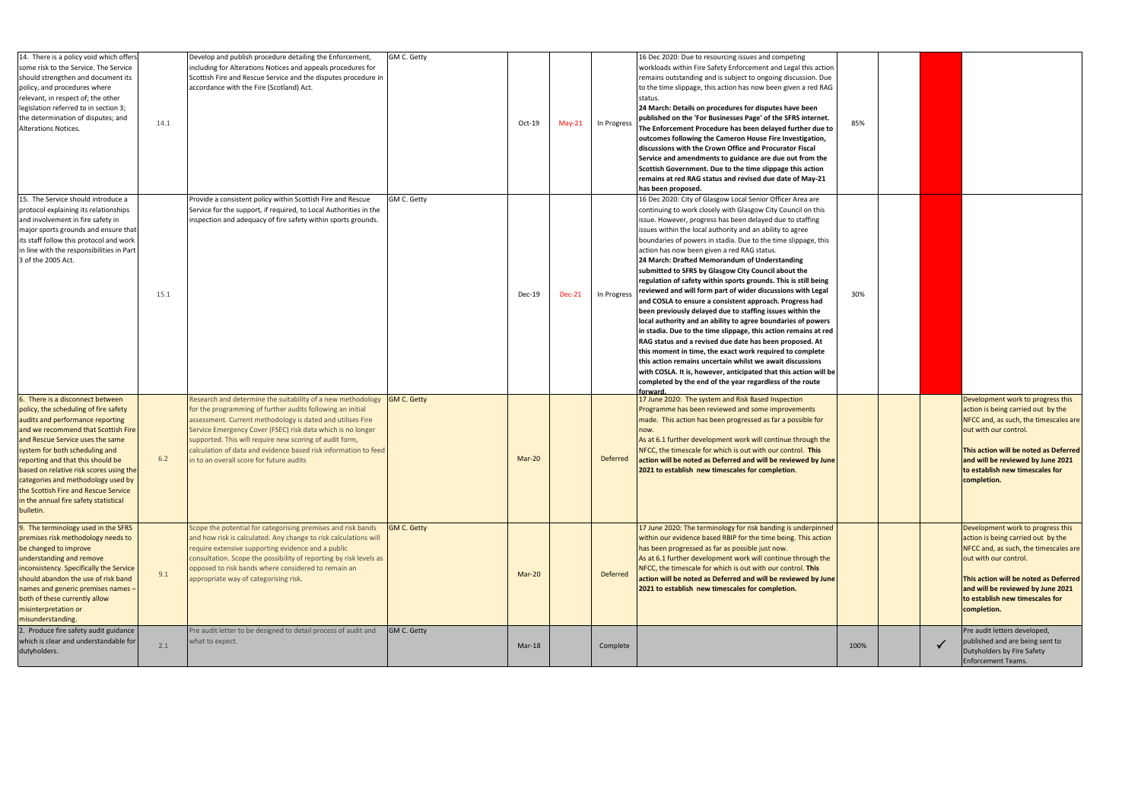| 14. There is a policy void which offers<br>some risk to the Service. The Service<br>should strengthen and document its<br>policy, and procedures where<br>relevant, in respect of; the other<br>legislation referred to in section 3;<br>the determination of disputes; and<br><b>Alterations Notices.</b>                                                                                                                                     | 14.1 | GM C. Getty<br>Develop and publish procedure detailing the Enforcement,<br>including for Alterations Notices and appeals procedures for<br>Scottish Fire and Rescue Service and the disputes procedure in<br>accordance with the Fire (Scotland) Act.                                                                                                                                                                                                                | $Oct-19$      | $May-21$      | In Progress     | 16 Dec 2020: Due to resourcing issues and competing<br>workloads within Fire Safety Enforcement and Legal this action<br>remains outstanding and is subject to ongoing discussion. Due<br>to the time slippage, this action has now been given a red RAG<br>status.<br>24 March: Details on procedures for disputes have been<br>published on the 'For Businesses Page' of the SFRS internet.<br>The Enforcement Procedure has been delayed further due to<br>outcomes following the Cameron House Fire Investigation,<br>discussions with the Crown Office and Procurator Fiscal<br>Service and amendments to guidance are due out from the<br>Scottish Government. Due to the time slippage this action<br>remains at red RAG status and revised due date of May-21<br>has been proposed.                                                                                                                                                                                                                                                                                                                                                                                                               | 85%  |  |                                                                                                                                                                                                                                                                           |
|------------------------------------------------------------------------------------------------------------------------------------------------------------------------------------------------------------------------------------------------------------------------------------------------------------------------------------------------------------------------------------------------------------------------------------------------|------|----------------------------------------------------------------------------------------------------------------------------------------------------------------------------------------------------------------------------------------------------------------------------------------------------------------------------------------------------------------------------------------------------------------------------------------------------------------------|---------------|---------------|-----------------|-----------------------------------------------------------------------------------------------------------------------------------------------------------------------------------------------------------------------------------------------------------------------------------------------------------------------------------------------------------------------------------------------------------------------------------------------------------------------------------------------------------------------------------------------------------------------------------------------------------------------------------------------------------------------------------------------------------------------------------------------------------------------------------------------------------------------------------------------------------------------------------------------------------------------------------------------------------------------------------------------------------------------------------------------------------------------------------------------------------------------------------------------------------------------------------------------------------|------|--|---------------------------------------------------------------------------------------------------------------------------------------------------------------------------------------------------------------------------------------------------------------------------|
| 15. The Service should introduce a<br>protocol explaining its relationships<br>and involvement in fire safety in<br>major sports grounds and ensure that<br>its staff follow this protocol and work<br>in line with the responsibilities in Part<br>3 of the 2005 Act.                                                                                                                                                                         | 15.1 | Provide a consistent policy within Scottish Fire and Rescue<br>GM C. Getty<br>Service for the support, if required, to Local Authorities in the<br>inspection and adequacy of fire safety within sports grounds.                                                                                                                                                                                                                                                     | <b>Dec-19</b> | <b>Dec-21</b> | In Progress     | 16 Dec 2020: City of Glasgow Local Senior Officer Area are<br>continuing to work closely with Glasgow City Council on this<br>issue. However, progress has been delayed due to staffing<br>issues within the local authority and an ability to agree<br>boundaries of powers in stadia. Due to the time slippage, this<br>action has now been given a red RAG status.<br>24 March: Drafted Memorandum of Understanding<br>submitted to SFRS by Glasgow City Council about the<br>regulation of safety within sports grounds. This is still being<br>reviewed and will form part of wider discussions with Legal<br>and COSLA to ensure a consistent approach. Progress had<br>been previously delayed due to staffing issues within the<br>local authority and an ability to agree boundaries of powers<br>in stadia. Due to the time slippage, this action remains at red<br>RAG status and a revised due date has been proposed. At<br>this moment in time, the exact work required to complete<br>this action remains uncertain whilst we await discussions<br>with COSLA. It is, however, anticipated that this action will be<br>completed by the end of the year regardless of the route<br>forward | 30%  |  |                                                                                                                                                                                                                                                                           |
| 6. There is a disconnect between<br>policy, the scheduling of fire safety<br>audits and performance reporting<br>and we recommend that Scottish Fire<br>and Rescue Service uses the same<br>system for both scheduling and<br>reporting and that this should be<br>based on relative risk scores using the<br>categories and methodology used by<br>the Scottish Fire and Rescue Service<br>in the annual fire safety statistical<br>bulletin. | 6.2  | Research and determine the suitability of a new methodology $\left  \text{GM C. Getty} \right $<br>for the programming of further audits following an initial<br>assessment. Current methodology is dated and utilises Fire<br>Service Emergency Cover (FSEC) risk data which is no longer<br>supported. This will require new scoring of audit form,<br>calculation of data and evidence based risk information to feed<br>in to an overall score for future audits | $Mar-20$      |               | <b>Deferred</b> | 17 June 2020: The system and Risk Based Inspection<br>Programme has been reviewed and some improvements<br>made. This action has been progressed as far a possible for<br>now.<br>As at 6.1 further development work will continue through the<br>NFCC, the timescale for which is out with our control. This<br>action will be noted as Deferred and will be reviewed by June<br>2021 to establish new timescales for completion.                                                                                                                                                                                                                                                                                                                                                                                                                                                                                                                                                                                                                                                                                                                                                                        |      |  | Development work to progress this<br>action is being carried out by the<br>NFCC and, as such, the timescales are<br>out with our control.<br>This action will be noted as Deferred<br>and will be reviewed by June 2021<br>to establish new timescales for<br>completion. |
| 9. The terminology used in the SFRS<br>premises risk methodology needs to<br>be changed to improve<br>understanding and remove<br>inconsistency. Specifically the Service<br>should abandon the use of risk band<br>names and generic premises names -<br>both of these currently allow<br>misinterpretation or<br>misunderstanding.                                                                                                           | 9.1  | Scope the potential for categorising premises and risk bands<br><b>GM C. Getty</b><br>and how risk is calculated. Any change to risk calculations will<br>require extensive supporting evidence and a public<br>consultation. Scope the possibility of reporting by risk levels as<br>opposed to risk bands where considered to remain an<br>appropriate way of categorising risk.                                                                                   | $Mar-20$      |               | <b>Deferred</b> | 17 June 2020: The terminology for risk banding is underpinned<br>within our evidence based RBIP for the time being. This action<br>has been progressed as far as possible just now.<br>As at 6.1 further development work will continue through the<br>NFCC, the timescale for which is out with our control. This<br>action will be noted as Deferred and will be reviewed by June<br>2021 to establish new timescales for completion.                                                                                                                                                                                                                                                                                                                                                                                                                                                                                                                                                                                                                                                                                                                                                                   |      |  | Development work to progress this<br>action is being carried out by the<br>NFCC and, as such, the timescales are<br>out with our control.<br>This action will be noted as Deferred<br>and will be reviewed by June 2021<br>to establish new timescales for<br>completion. |
| 2. Produce fire safety audit guidance<br>which is clear and understandable for<br>dutyholders.                                                                                                                                                                                                                                                                                                                                                 | 2.1  | Pre audit letter to be designed to detail process of audit and<br><b>GM C. Getty</b><br>what to expect.                                                                                                                                                                                                                                                                                                                                                              | $Mar-18$      |               | Complete        |                                                                                                                                                                                                                                                                                                                                                                                                                                                                                                                                                                                                                                                                                                                                                                                                                                                                                                                                                                                                                                                                                                                                                                                                           | 100% |  | Pre audit letters developed,<br>published and are being sent to<br>Dutyholders by Fire Safety<br><b>Enforcement Teams.</b>                                                                                                                                                |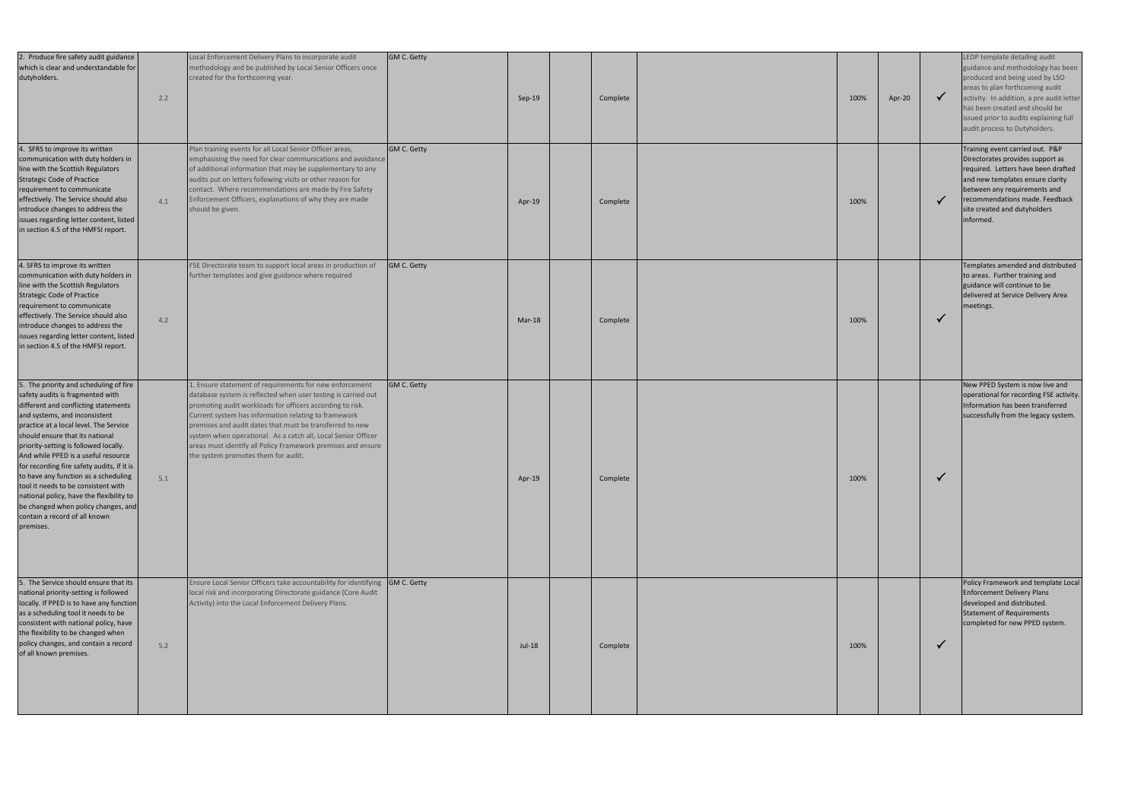| 2. Produce fire safety audit guidance<br>which is clear and understandable for<br>dutyholders.                                                                                                                                                                                                                                                                                                                                                                                                                                                                                 | 2.2 | Local Enforcement Delivery Plans to incorporate audit<br>methodology and be published by Local Senior Officers once<br>created for the forthcoming year.                                                                                                                                                                                                                                                                                                                          | <b>GM C. Getty</b> | $Sep-19$ | Complete | 100% | Apr-20 | LEDP template detailing audit<br>guidance and methodology has been<br>produced and being used by LSO<br>areas to plan forthcoming audit<br>activity. In addition, a pre audit letter<br>has been created and should be<br>issued prior to audits explaining full<br>audit process to Dutyholders. |
|--------------------------------------------------------------------------------------------------------------------------------------------------------------------------------------------------------------------------------------------------------------------------------------------------------------------------------------------------------------------------------------------------------------------------------------------------------------------------------------------------------------------------------------------------------------------------------|-----|-----------------------------------------------------------------------------------------------------------------------------------------------------------------------------------------------------------------------------------------------------------------------------------------------------------------------------------------------------------------------------------------------------------------------------------------------------------------------------------|--------------------|----------|----------|------|--------|---------------------------------------------------------------------------------------------------------------------------------------------------------------------------------------------------------------------------------------------------------------------------------------------------|
| 4. SFRS to improve its written<br>communication with duty holders in<br>line with the Scottish Regulators<br><b>Strategic Code of Practice</b><br>requirement to communicate<br>effectively. The Service should also<br>introduce changes to address the<br>issues regarding letter content, listed<br>in section 4.5 of the HMFSI report.                                                                                                                                                                                                                                     | 4.1 | Plan training events for all Local Senior Officer areas,<br>emphasising the need for clear communications and avoidance<br>of additional information that may be supplementary to any<br>audits put on letters following visits or other reason for<br>contact. Where recommendations are made by Fire Safety<br>Enforcement Officers, explanations of why they are made<br>should be given.                                                                                      | <b>GM C. Getty</b> | Apr-19   | Complete | 100% |        | Training event carried out. P&P<br>Directorates provides support as<br>required. Letters have been drafted<br>and new templates ensure clarity<br>between any requirements and<br>recommendations made. Feedback<br>site created and dutyholders<br>informed.                                     |
| 4. SFRS to improve its written<br>communication with duty holders in<br>line with the Scottish Regulators<br><b>Strategic Code of Practice</b><br>requirement to communicate<br>effectively. The Service should also<br>introduce changes to address the<br>issues regarding letter content, listed<br>in section 4.5 of the HMFSI report.                                                                                                                                                                                                                                     | 4.2 | FSE Directorate team to support local areas in production of<br>further templates and give guidance where required                                                                                                                                                                                                                                                                                                                                                                | <b>GM C. Getty</b> | $Mar-18$ | Complete | 100% |        | Templates amended and distributed<br>to areas. Further training and<br>guidance will continue to be<br>delivered at Service Delivery Area<br>meetings.                                                                                                                                            |
| 5. The priority and scheduling of fire<br>safety audits is fragmented with<br>different and conflicting statements<br>and systems, and inconsistent<br>practice at a local level. The Service<br>should ensure that its national<br>priority-setting is followed locally.<br>And while PPED is a useful resource<br>for recording fire safety audits, if it is<br>to have any function as a scheduling<br>tool it needs to be consistent with<br>national policy, have the flexibility to<br>be changed when policy changes, and<br>contain a record of all known<br>premises. | 5.1 | 1. Ensure statement of requirements for new enforcement<br>database system is reflected when user testing is carried out<br>promoting audit workloads for officers according to risk.<br>Current system has information relating to framework<br>premises and audit dates that must be transferred to new<br>system when operational. As a catch all, Local Senior Officer<br>areas must identify all Policy Framework premises and ensure<br>the system promotes them for audit. | <b>GM C. Getty</b> | Apr-19   | Complete | 100% |        | New PPED System is now live and<br>operational for recording FSE activity.<br>Information has been transferred<br>successfully from the legacy system.                                                                                                                                            |
| 5. The Service should ensure that its<br>national priority-setting is followed<br>locally. If PPED is to have any function<br>as a scheduling tool it needs to be<br>consistent with national policy, have<br>the flexibility to be changed when<br>policy changes, and contain a record<br>of all known premises.                                                                                                                                                                                                                                                             | 5.2 | Ensure Local Senior Officers take accountability for identifying GM C. Getty<br>local risk and incorporating Directorate guidance (Core Audit<br>Activity) into the Local Enforcement Delivery Plans.                                                                                                                                                                                                                                                                             |                    | Jul-18   | Complete | 100% |        | Policy Framework and template Local<br><b>Enforcement Delivery Plans</b><br>developed and distributed.<br>Statement of Requirements<br>completed for new PPED system.                                                                                                                             |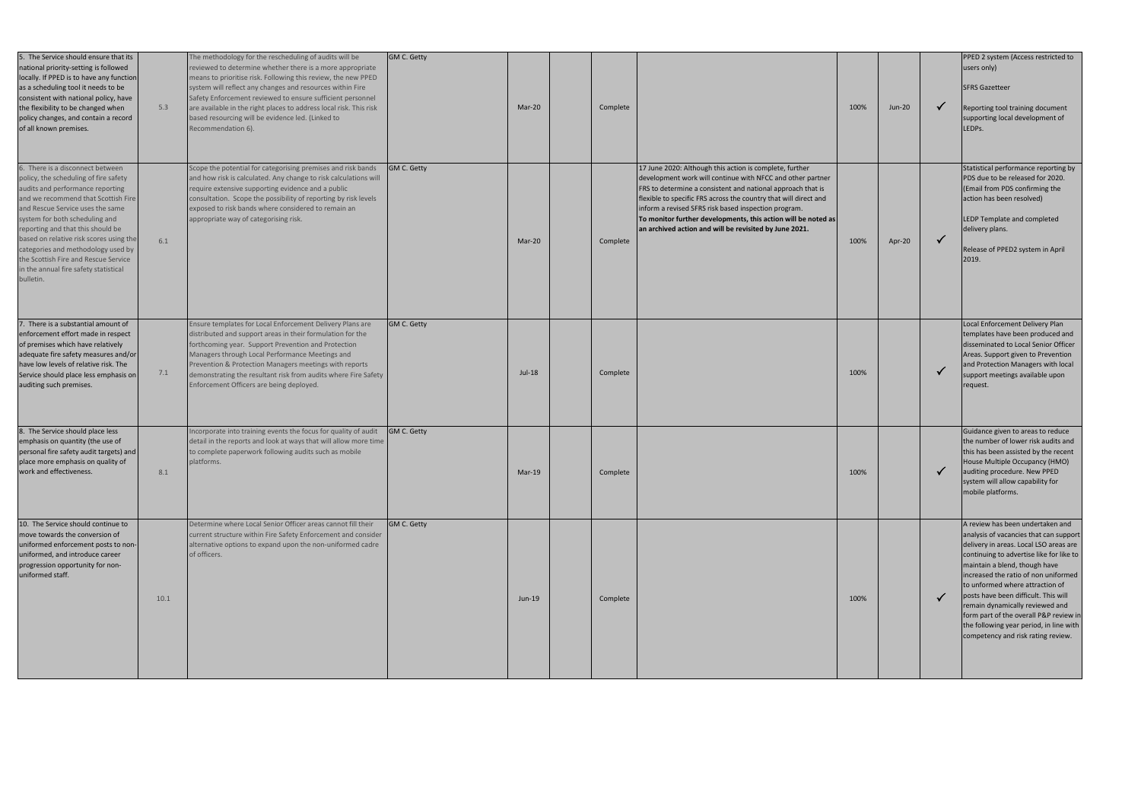| 5. The Service should ensure that its<br>national priority-setting is followed<br>locally. If PPED is to have any function<br>as a scheduling tool it needs to be<br>consistent with national policy, have<br>the flexibility to be changed when<br>policy changes, and contain a record<br>of all known premises.                                                                                                                             | 5.3  | The methodology for the rescheduling of audits will be<br>reviewed to determine whether there is a more appropriate<br>means to prioritise risk. Following this review, the new PPED<br>system will reflect any changes and resources within Fire<br>Safety Enforcement reviewed to ensure sufficient personnel<br>are available in the right places to address local risk. This risk<br>based resourcing will be evidence led. (Linked to<br>Recommendation 6). | GM C. Getty        | Mar-20   | Complete |                                                                                                                                                                                                                                                                                                                                                                                                                                             | 100% | <b>Jun-20</b> |              | PPED 2 system (Access restricted to<br>users only)<br><b>SFRS Gazetteer</b><br>Reporting tool training document<br>supporting local development of<br>LEDPs.                                                                                                                                                                                                                                                                                                                       |
|------------------------------------------------------------------------------------------------------------------------------------------------------------------------------------------------------------------------------------------------------------------------------------------------------------------------------------------------------------------------------------------------------------------------------------------------|------|------------------------------------------------------------------------------------------------------------------------------------------------------------------------------------------------------------------------------------------------------------------------------------------------------------------------------------------------------------------------------------------------------------------------------------------------------------------|--------------------|----------|----------|---------------------------------------------------------------------------------------------------------------------------------------------------------------------------------------------------------------------------------------------------------------------------------------------------------------------------------------------------------------------------------------------------------------------------------------------|------|---------------|--------------|------------------------------------------------------------------------------------------------------------------------------------------------------------------------------------------------------------------------------------------------------------------------------------------------------------------------------------------------------------------------------------------------------------------------------------------------------------------------------------|
| 6. There is a disconnect between<br>policy, the scheduling of fire safety<br>audits and performance reporting<br>and we recommend that Scottish Fire<br>and Rescue Service uses the same<br>system for both scheduling and<br>reporting and that this should be<br>based on relative risk scores using the<br>categories and methodology used by<br>the Scottish Fire and Rescue Service<br>in the annual fire safety statistical<br>bulletin. | 6.1  | Scope the potential for categorising premises and risk bands<br>and how risk is calculated. Any change to risk calculations will<br>require extensive supporting evidence and a public<br>consultation. Scope the possibility of reporting by risk levels<br>exposed to risk bands where considered to remain an<br>appropriate way of categorising risk.                                                                                                        | <b>GM C. Getty</b> | Mar-20   | Complete | 17 June 2020: Although this action is complete, further<br>development work will continue with NFCC and other partner<br>FRS to determine a consistent and national approach that is<br>flexible to specific FRS across the country that will direct and<br>inform a revised SFRS risk based inspection program.<br>To monitor further developments, this action will be noted as<br>an archived action and will be revisited by June 2021. | 100% | Apr-20        | $\checkmark$ | Statistical performance reporting by<br>PDS due to be released for 2020.<br>(Email from PDS confirming the<br>action has been resolved)<br>LEDP Template and completed<br>delivery plans.<br>Release of PPED2 system in April<br>2019.                                                                                                                                                                                                                                             |
| 7. There is a substantial amount of<br>enforcement effort made in respect<br>of premises which have relatively<br>adequate fire safety measures and/or<br>have low levels of relative risk. The<br>Service should place less emphasis on<br>auditing such premises.                                                                                                                                                                            | 7.1  | Ensure templates for Local Enforcement Delivery Plans are<br>distributed and support areas in their formulation for the<br>forthcoming year. Support Prevention and Protection<br>Managers through Local Performance Meetings and<br>Prevention & Protection Managers meetings with reports<br>demonstrating the resultant risk from audits where Fire Safety<br>Enforcement Officers are being deployed.                                                        | <b>GM C. Getty</b> | Jul-18   | Complete |                                                                                                                                                                                                                                                                                                                                                                                                                                             | 100% |               |              | Local Enforcement Delivery Plan<br>templates have been produced and<br>disseminated to Local Senior Officer<br>Areas. Support given to Prevention<br>and Protection Managers with local<br>support meetings available upon<br>request.                                                                                                                                                                                                                                             |
| 8. The Service should place less<br>emphasis on quantity (the use of<br>personal fire safety audit targets) and<br>place more emphasis on quality of<br>work and effectiveness.                                                                                                                                                                                                                                                                | 8.1  | Incorporate into training events the focus for quality of audit<br>detail in the reports and look at ways that will allow more time<br>to complete paperwork following audits such as mobile<br>platforms.                                                                                                                                                                                                                                                       | <b>GM C. Getty</b> | $Mar-19$ | Complete |                                                                                                                                                                                                                                                                                                                                                                                                                                             | 100% |               |              | Guidance given to areas to reduce<br>the number of lower risk audits and<br>this has been assisted by the recent<br>House Multiple Occupancy (HMO)<br>auditing procedure. New PPED<br>system will allow capability for<br>mobile platforms.                                                                                                                                                                                                                                        |
| 10. The Service should continue to<br>move towards the conversion of<br>uniformed enforcement posts to non-<br>uniformed, and introduce career<br>progression opportunity for non-<br>uniformed staff.                                                                                                                                                                                                                                         | 10.1 | Determine where Local Senior Officer areas cannot fill their<br>current structure within Fire Safety Enforcement and consider<br>alternative options to expand upon the non-uniformed cadre<br>of officers.                                                                                                                                                                                                                                                      | <b>GM C. Getty</b> | Jun-19   | Complete |                                                                                                                                                                                                                                                                                                                                                                                                                                             | 100% |               |              | A review has been undertaken and<br>analysis of vacancies that can support<br>delivery in areas. Local LSO areas are<br>continuing to advertise like for like to<br>maintain a blend, though have<br>increased the ratio of non uniformed<br>to unformed where attraction of<br>posts have been difficult. This will<br>remain dynamically reviewed and<br>form part of the overall P&P review in<br>the following year period, in line with<br>competency and risk rating review. |